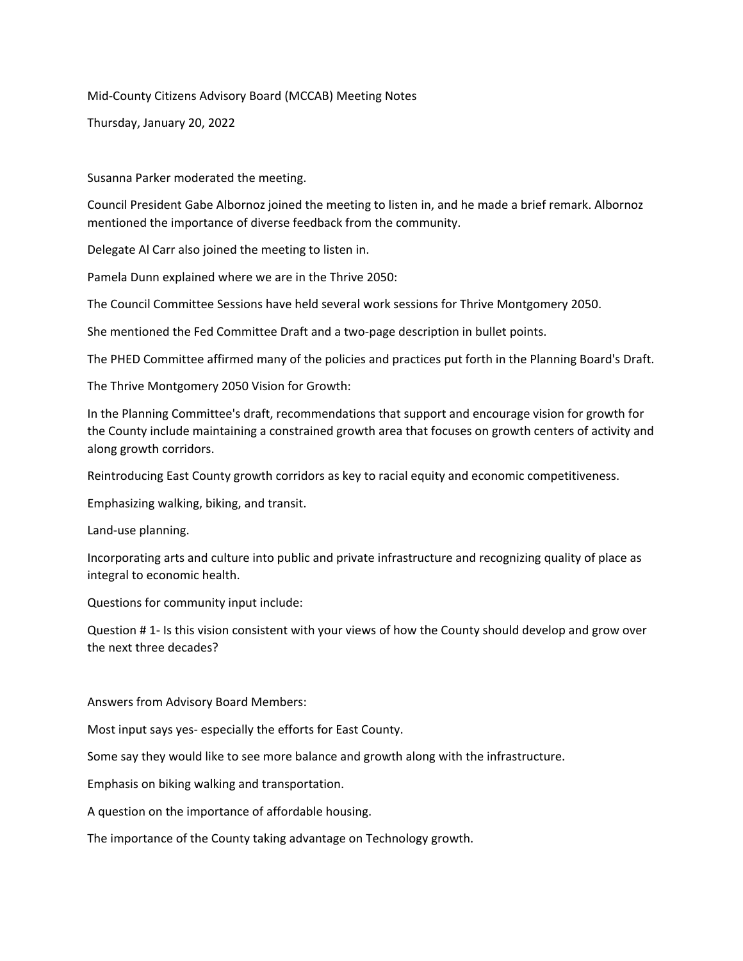Mid-County Citizens Advisory Board (MCCAB) Meeting Notes

Thursday, January 20, 2022

Susanna Parker moderated the meeting.

Council President Gabe Albornoz joined the meeting to listen in, and he made a brief remark. Albornoz mentioned the importance of diverse feedback from the community.

Delegate Al Carr also joined the meeting to listen in.

Pamela Dunn explained where we are in the Thrive 2050:

The Council Committee Sessions have held several work sessions for Thrive Montgomery 2050.

She mentioned the Fed Committee Draft and a two-page description in bullet points.

The PHED Committee affirmed many of the policies and practices put forth in the Planning Board's Draft.

The Thrive Montgomery 2050 Vision for Growth:

In the Planning Committee's draft, recommendations that support and encourage vision for growth for the County include maintaining a constrained growth area that focuses on growth centers of activity and along growth corridors.

Reintroducing East County growth corridors as key to racial equity and economic competitiveness.

Emphasizing walking, biking, and transit.

Land-use planning.

Incorporating arts and culture into public and private infrastructure and recognizing quality of place as integral to economic health.

Questions for community input include:

Question # 1- Is this vision consistent with your views of how the County should develop and grow over the next three decades?

Answers from Advisory Board Members:

Most input says yes- especially the efforts for East County.

Some say they would like to see more balance and growth along with the infrastructure.

Emphasis on biking walking and transportation.

A question on the importance of affordable housing.

The importance of the County taking advantage on Technology growth.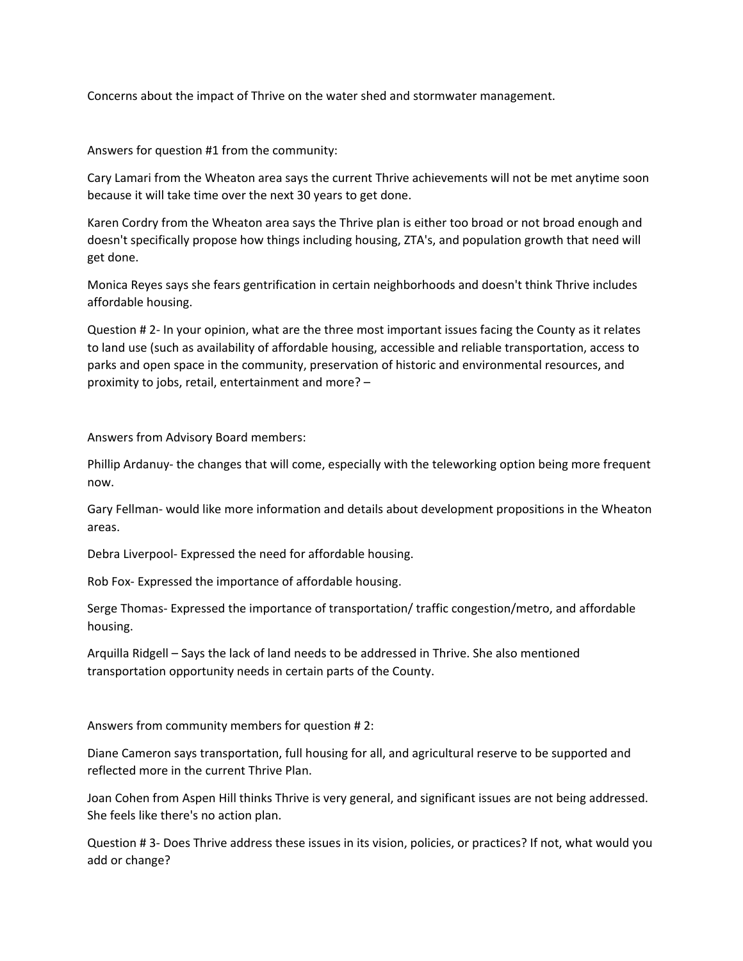Concerns about the impact of Thrive on the water shed and stormwater management.

Answers for question #1 from the community:

Cary Lamari from the Wheaton area says the current Thrive achievements will not be met anytime soon because it will take time over the next 30 years to get done.

Karen Cordry from the Wheaton area says the Thrive plan is either too broad or not broad enough and doesn't specifically propose how things including housing, ZTA's, and population growth that need will get done.

Monica Reyes says she fears gentrification in certain neighborhoods and doesn't think Thrive includes affordable housing.

Question # 2- In your opinion, what are the three most important issues facing the County as it relates to land use (such as availability of affordable housing, accessible and reliable transportation, access to parks and open space in the community, preservation of historic and environmental resources, and proximity to jobs, retail, entertainment and more? –

Answers from Advisory Board members:

Phillip Ardanuy- the changes that will come, especially with the teleworking option being more frequent now.

Gary Fellman- would like more information and details about development propositions in the Wheaton areas.

Debra Liverpool- Expressed the need for affordable housing.

Rob Fox- Expressed the importance of affordable housing.

Serge Thomas- Expressed the importance of transportation/ traffic congestion/metro, and affordable housing.

Arquilla Ridgell – Says the lack of land needs to be addressed in Thrive. She also mentioned transportation opportunity needs in certain parts of the County.

Answers from community members for question # 2:

Diane Cameron says transportation, full housing for all, and agricultural reserve to be supported and reflected more in the current Thrive Plan.

Joan Cohen from Aspen Hill thinks Thrive is very general, and significant issues are not being addressed. She feels like there's no action plan.

Question # 3- Does Thrive address these issues in its vision, policies, or practices? If not, what would you add or change?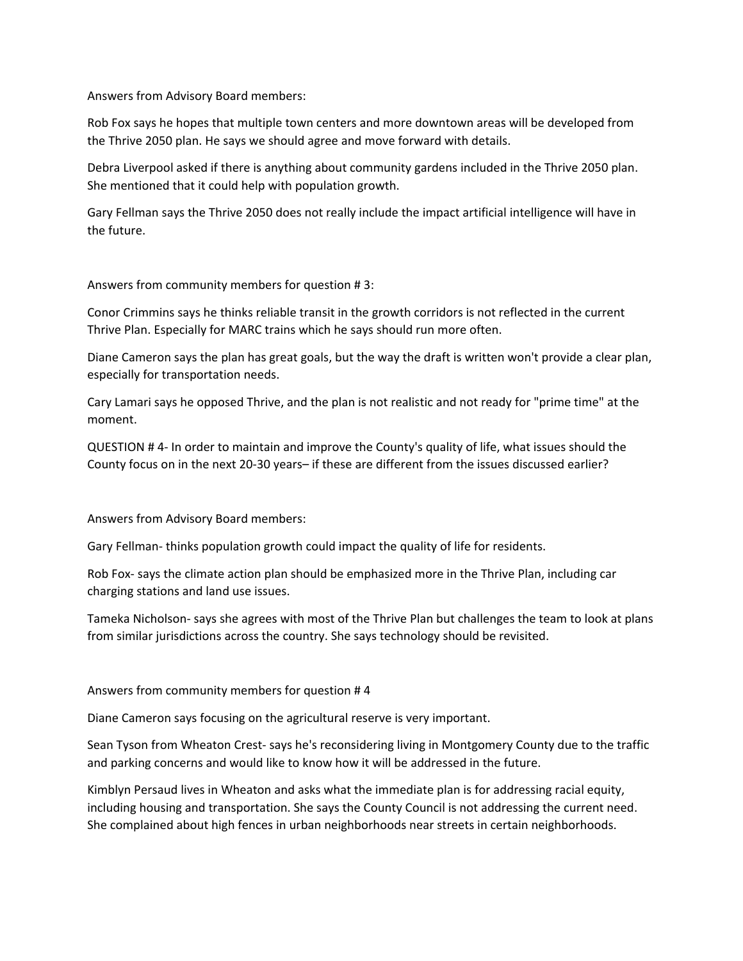Answers from Advisory Board members:

Rob Fox says he hopes that multiple town centers and more downtown areas will be developed from the Thrive 2050 plan. He says we should agree and move forward with details.

Debra Liverpool asked if there is anything about community gardens included in the Thrive 2050 plan. She mentioned that it could help with population growth.

Gary Fellman says the Thrive 2050 does not really include the impact artificial intelligence will have in the future.

Answers from community members for question # 3:

Conor Crimmins says he thinks reliable transit in the growth corridors is not reflected in the current Thrive Plan. Especially for MARC trains which he says should run more often.

Diane Cameron says the plan has great goals, but the way the draft is written won't provide a clear plan, especially for transportation needs.

Cary Lamari says he opposed Thrive, and the plan is not realistic and not ready for "prime time" at the moment.

QUESTION # 4- In order to maintain and improve the County's quality of life, what issues should the County focus on in the next 20-30 years– if these are different from the issues discussed earlier?

Answers from Advisory Board members:

Gary Fellman- thinks population growth could impact the quality of life for residents.

Rob Fox- says the climate action plan should be emphasized more in the Thrive Plan, including car charging stations and land use issues.

Tameka Nicholson- says she agrees with most of the Thrive Plan but challenges the team to look at plans from similar jurisdictions across the country. She says technology should be revisited.

Answers from community members for question # 4

Diane Cameron says focusing on the agricultural reserve is very important.

Sean Tyson from Wheaton Crest- says he's reconsidering living in Montgomery County due to the traffic and parking concerns and would like to know how it will be addressed in the future.

Kimblyn Persaud lives in Wheaton and asks what the immediate plan is for addressing racial equity, including housing and transportation. She says the County Council is not addressing the current need. She complained about high fences in urban neighborhoods near streets in certain neighborhoods.